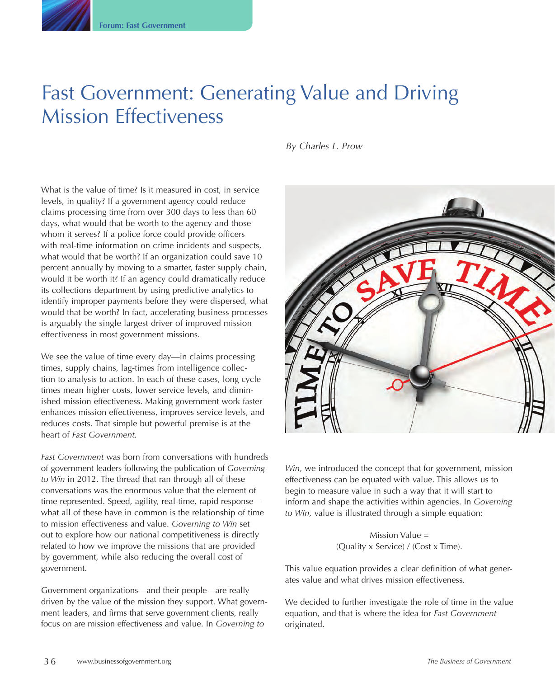# Fast Government: Generating Value and Driving Mission Effectiveness

*By Charles L. Prow*

What is the value of time? Is it measured in cost, in service levels, in quality? If a government agency could reduce claims processing time from over 300 days to less than 60 days, what would that be worth to the agency and those whom it serves? If a police force could provide officers with real-time information on crime incidents and suspects, what would that be worth? If an organization could save 10 percent annually by moving to a smarter, faster supply chain, would it be worth it? If an agency could dramatically reduce its collections department by using predictive analytics to identify improper payments before they were dispersed, what would that be worth? In fact, accelerating business processes is arguably the single largest driver of improved mission effectiveness in most government missions.

We see the value of time every day—in claims processing times, supply chains, lag-times from intelligence collection to analysis to action. In each of these cases, long cycle times mean higher costs, lower service levels, and diminished mission effectiveness. Making government work faster enhances mission effectiveness, improves service levels, and reduces costs. That simple but powerful premise is at the heart of *Fast Government.*

*Fast Government* was born from conversations with hundreds of government leaders following the publication of *Governing to Win* in 2012. The thread that ran through all of these conversations was the enormous value that the element of time represented. Speed, agility, real-time, rapid response what all of these have in common is the relationship of time to mission effectiveness and value. *Governing to Win* set out to explore how our national competitiveness is directly related to how we improve the missions that are provided by government, while also reducing the overall cost of government.

Government organizations—and their people—are really driven by the value of the mission they support. What government leaders, and firms that serve government clients, really focus on are mission effectiveness and value. In *Governing to* 



*Win,* we introduced the concept that for government, mission effectiveness can be equated with value. This allows us to begin to measure value in such a way that it will start to inform and shape the activities within agencies. In *Governing to Win,* value is illustrated through a simple equation:

> Mission Value = (Quality x Service) / (Cost x Time).

This value equation provides a clear definition of what generates value and what drives mission effectiveness.

We decided to further investigate the role of time in the value equation, and that is where the idea for *Fast Government* originated.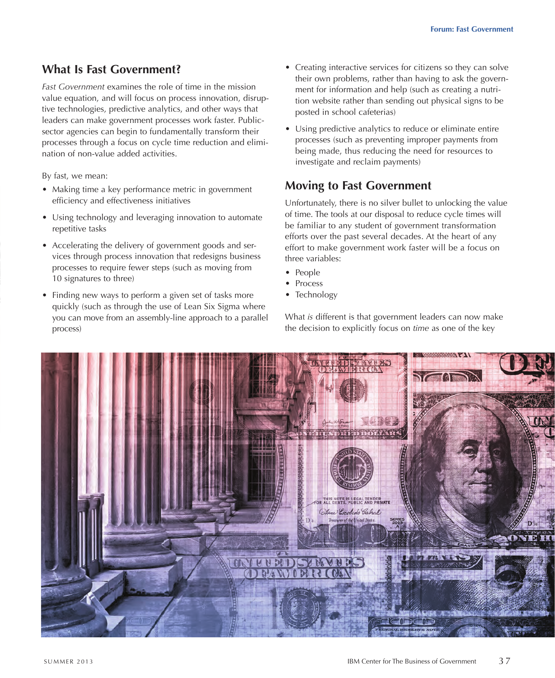### **What Is Fast Government?**

*Fast Government* examines the role of time in the mission value equation, and will focus on process innovation, disruptive technologies, predictive analytics, and other ways that leaders can make government processes work faster. Publicsector agencies can begin to fundamentally transform their processes through a focus on cycle time reduction and elimination of non-value added activities.

By fast, we mean:

- Making time a key performance metric in government efficiency and effectiveness initiatives
- Using technology and leveraging innovation to automate repetitive tasks
- Accelerating the delivery of government goods and services through process innovation that redesigns business processes to require fewer steps (such as moving from 10 signatures to three)
- Finding new ways to perform a given set of tasks more quickly (such as through the use of Lean Six Sigma where you can move from an assembly-line approach to a parallel process)
- Creating interactive services for citizens so they can solve their own problems, rather than having to ask the government for information and help (such as creating a nutrition website rather than sending out physical signs to be posted in school cafeterias)
- Using predictive analytics to reduce or eliminate entire processes (such as preventing improper payments from being made, thus reducing the need for resources to investigate and reclaim payments)

#### **Moving to Fast Government**

Unfortunately, there is no silver bullet to unlocking the value of time. The tools at our disposal to reduce cycle times will be familiar to any student of government transformation efforts over the past several decades. At the heart of any effort to make government work faster will be a focus on three variables:

- People
- Process
- Technology

What *is* different is that government leaders can now make the decision to explicitly focus on *time* as one of the key

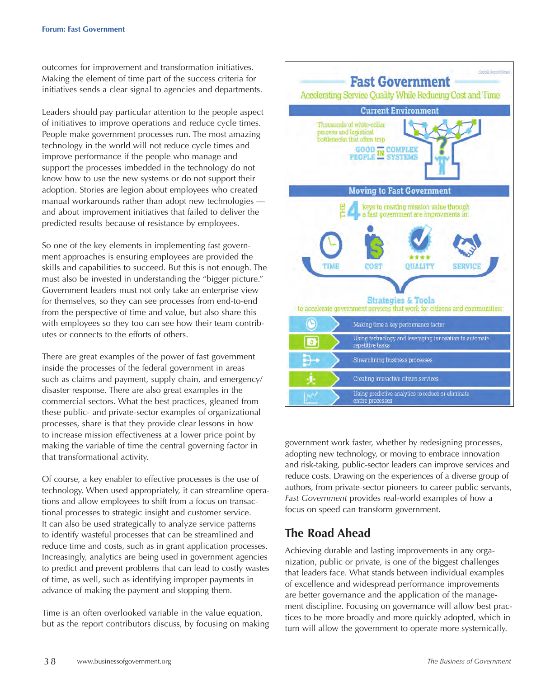outcomes for improvement and transformation initiatives. Making the element of time part of the success criteria for initiatives sends a clear signal to agencies and departments.

Leaders should pay particular attention to the people aspect of initiatives to improve operations and reduce cycle times. People make government processes run. The most amazing technology in the world will not reduce cycle times and improve performance if the people who manage and support the processes imbedded in the technology do not know how to use the new systems or do not support their adoption. Stories are legion about employees who created manual workarounds rather than adopt new technologies and about improvement initiatives that failed to deliver the predicted results because of resistance by employees.

So one of the key elements in implementing fast government approaches is ensuring employees are provided the skills and capabilities to succeed. But this is not enough. The must also be invested in understanding the "bigger picture." Government leaders must not only take an enterprise view for themselves, so they can see processes from end-to-end from the perspective of time and value, but also share this with employees so they too can see how their team contributes or connects to the efforts of others.

There are great examples of the power of fast government inside the processes of the federal government in areas such as claims and payment, supply chain, and emergency/ disaster response. There are also great examples in the commercial sectors. What the best practices, gleaned from these public- and private-sector examples of organizational processes, share is that they provide clear lessons in how to increase mission effectiveness at a lower price point by making the variable of time the central governing factor in that transformational activity.

Of course, a key enabler to effective processes is the use of technology. When used appropriately, it can streamline operations and allow employees to shift from a focus on transactional processes to strategic insight and customer service. It can also be used strategically to analyze service patterns to identify wasteful processes that can be streamlined and reduce time and costs, such as in grant application processes. Increasingly, analytics are being used in government agencies to predict and prevent problems that can lead to costly wastes of time, as well, such as identifying improper payments in advance of making the payment and stopping them.

Time is an often overlooked variable in the value equation, but as the report contributors discuss, by focusing on making



government work faster, whether by redesigning processes, adopting new technology, or moving to embrace innovation and risk-taking, public-sector leaders can improve services and reduce costs. Drawing on the experiences of a diverse group of authors, from private-sector pioneers to career public servants, *Fast Government* provides real-world examples of how a focus on speed can transform government.

## **The Road Ahead**

Achieving durable and lasting improvements in any organization, public or private, is one of the biggest challenges that leaders face. What stands between individual examples of excellence and widespread performance improvements are better governance and the application of the management discipline. Focusing on governance will allow best practices to be more broadly and more quickly adopted, which in turn will allow the government to operate more systemically.